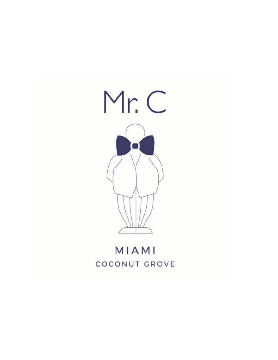

# MIAMI COCONUT GROVE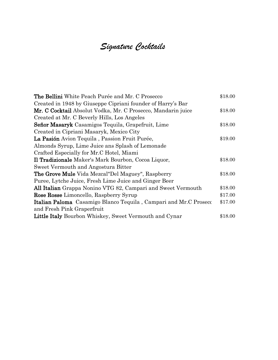## *Signature Cocktails*

| <b>The Bellini</b> White Peach Purée and Mr. C Prosecco          | \$18.00 |
|------------------------------------------------------------------|---------|
| Created in 1948 by Giuseppe Cipriani founder of Harry's Bar      |         |
| Mr. C Cocktail Absolut Vodka, Mr. C Prosecco, Mandarin juice     | \$18.00 |
| Created at Mr. C Beverly Hills, Los Angeles                      |         |
| Señor Masaryk Casamigos Tequila, Grapefruit, Lime                | \$18.00 |
| Created in Cipriani Masaryk, Mexico City                         |         |
| La Pasión Avion Tequila, Passion Fruit Purée,                    | \$19.00 |
| Almonds Syrup, Lime Juice ans Splash of Lemonade                 |         |
| Crafted Especially for Mr.C Hotel, Miami                         |         |
| Il Tradizionale Maker's Mark Bourbon, Cocoa Liquor,              | \$18.00 |
| Sweet Vermouth and Angostura Bitter                              |         |
| <b>The Grove Mule</b> Vida Mezcal"Del Maguey", Raspberry         | \$18.00 |
| Puree, Lytche Juice, Fresh Lime Juice and Ginger Beer            |         |
| All Italian Grappa Nonino VTG 82, Campari and Sweet Vermouth     | \$18.00 |
| Rose Rosse Limoncello, Raspberry Syrup                           | \$17.00 |
| Italian Paloma Casamigo Blanco Tequila, Campari and Mr.C Prosecc | \$17.00 |
| and Fresh Pink Graperfruit                                       |         |
| Little Italy Bourbon Whiskey, Sweet Vermouth and Cynar           | \$18.00 |
|                                                                  |         |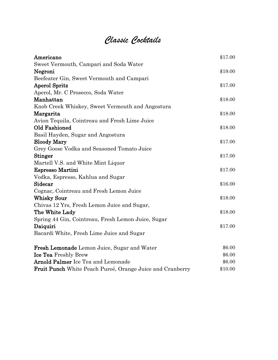# *Classic Cocktails*

| Americano                                                 | \$17.00 |
|-----------------------------------------------------------|---------|
| Sweet Vermouth, Campari and Soda Water                    |         |
| Negroni                                                   | \$19.00 |
| Beefeater Gin, Sweet Vermouth and Campari                 |         |
| <b>Aperol Spritz</b>                                      | \$17.00 |
| Aperol, Mr. C Prosecco, Soda Water                        |         |
| Manhattan                                                 | \$18.00 |
| Knob Creek Whiskey, Sweet Vermouth and Angostura          |         |
| Margarita                                                 | \$18.00 |
| Avion Tequila, Cointreau and Fresh Lime Juice             |         |
| Old Fashioned                                             | \$18.00 |
| Basil Hayden, Sugar and Angostura                         |         |
| <b>Bloody Mary</b>                                        | \$17.00 |
| Grey Goose Vodka and Seasoned Tomato Juice                |         |
| <b>Stinger</b>                                            | \$17.00 |
| Martell V.S. and White Mint Liquor                        |         |
| Espresso Martini                                          | \$17.00 |
| Vodka, Espresso, Kahlua and Sugar                         |         |
| Sidecar                                                   | \$16.00 |
| Cognac, Cointreau and Fresh Lemon Juice                   |         |
| <b>Whisky Sour</b>                                        | \$18.00 |
| Chivas 12 Yrs, Fresh Lemon Juice and Sugar,               |         |
| The White Lady                                            | \$18.00 |
| Spring 44 Gin, Cointreau, Fresh Lemon Juice, Sugar        |         |
| Daiquiri                                                  | \$17.00 |
| Bacardi White, Fresh Lime Juice and Sugar                 |         |
| <b>Fresh Lemonade</b> Lemon Juice, Sugar and Water        | \$6.00  |
| Ice Tea Freshly Brew                                      | \$6.00  |
| <b>Arnold Palmer</b> Ice Tea and Lemonade                 | \$6.00  |
| Fruit Punch White Peach Pureé, Orange Juice and Cranberry | \$10.00 |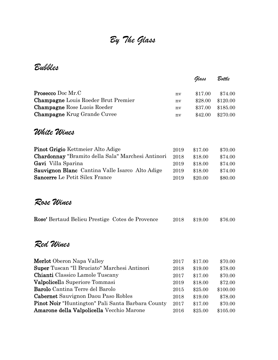# *By The Glass*

*Bubbles*

|                                                               |      | Glass   | Bottle   |
|---------------------------------------------------------------|------|---------|----------|
|                                                               |      |         |          |
| <b>Prosecco</b> Doc Mr.C                                      | nv   | \$17.00 | \$74.00  |
| <b>Champagne</b> Louis Roeder Brut Premier                    | ny   | \$28.00 | \$120.00 |
| <b>Champagne Rose Luois Roeder</b>                            | nv   | \$37.00 | \$185.00 |
| <b>Champagne</b> Krug Grande Cuvee                            | nv   | \$42.00 | \$270.00 |
| White Wines                                                   |      |         |          |
| <b>Pinot Grigio Kettmeier Alto Adige</b>                      | 2019 | \$17.00 | \$70.00  |
| Chardonnay "Bramito della Sala" Marchesi Antinori             | 2018 | \$18.00 | \$74.00  |
| Gavi Villa Sparina                                            | 2019 | \$18.00 | \$74.00  |
| Sauvignon Blanc Cantina Valle Isarco Alto Adige               | 2019 | \$18.00 | \$74.00  |
| <b>Sancerre</b> Le Petit Silex France                         | 2019 | \$20.00 | \$80.00  |
| Rose Wines<br>Rose' Bertaud Belieu Prestige Cotes de Provence | 2018 | \$19.00 | \$76.00  |
| Red Wines                                                     |      |         |          |
| <b>Merlot</b> Oberon Napa Valley                              | 2017 | \$17.00 | \$70.00  |
| Super Tuscan "Il Bruciato" Marchesi Antinori                  | 2018 | \$19.00 | \$78.00  |
| <b>Chianti</b> Classico Lamole Tuscany                        | 2017 | \$17.00 | \$70.00  |
| Valpolicella Superiore Tommasi                                | 2019 | \$18.00 | \$72.00  |
| Barolo Cantina Terre del Barolo                               | 2015 | \$25.00 | \$100.00 |
| <b>Cabernet</b> Sauvignon Daou Paso Robles                    | 2018 | \$19.00 | \$78.00  |
| <b>Pinot Noir</b> "Huntington" Pali Santa Barbara County      | 2017 | \$17.00 | \$70.00  |
| Amarone della Valpolicella Vecchio Marone                     | 2016 | \$25.00 | \$105.00 |
|                                                               |      |         |          |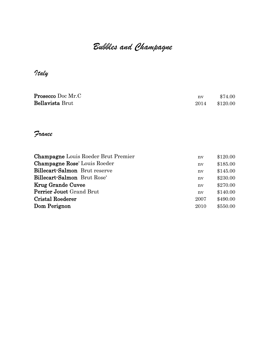# *Bubbles and Champagne*

### *Italy*

| <b>Prosecco</b> Doc Mr.C | nv   | \$74.00  |
|--------------------------|------|----------|
| <b>Bellavista Brut</b>   | 2014 | \$120.00 |

#### *France*

| nv   | \$120.00 |
|------|----------|
| nv   | \$185.00 |
| nv   | \$145.00 |
| nv   | \$230.00 |
| nv   | \$270.00 |
| nv   | \$140.00 |
| 2007 | \$490.00 |
| 2010 | \$550.00 |
|      |          |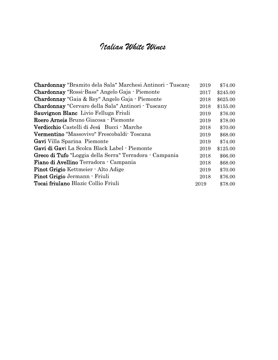### *Italian White Wines*

| Chardonnay "Bramito dela Sala" Marchesi Antinori - Tuscany | 2019 | \$74.00  |
|------------------------------------------------------------|------|----------|
| Chardonnay "Rossi-Bass" Angelo Gaja - Piemonte             | 2017 | \$245.00 |
| <b>Chardonnay</b> "Gaia & Rey" Angelo Gaja · Piemonte      | 2018 | \$625.00 |
| Chardonnay "Cervaro della Sala" Antinori - Tuscany         | 2018 | \$155.00 |
| Sauvignon Blanc Livio Felluga Friuli                       | 2019 | \$76.00  |
| Roero Arneis Bruno Giacosa - Piemonte                      | 2019 | \$78.00  |
| <b>Verdicchio</b> Castelli di Jesi Bucci Marche            | 2018 | \$70.00  |
| <b>Vermentino</b> "Massovivo" Frescobaldi Toscana          | 2019 | \$68.00  |
| Gavi Villa Sparina Piemonte                                | 2019 | \$74.00  |
| Gavi di Gavi La Scolca Black Label - Piemonte              | 2019 | \$125.00 |
| Greco di Tufo "Loggia della Serra" Terradora - Campania    | 2018 | \$66.00  |
| <b>Fiano di Avellino</b> Terradora - Campania              | 2018 | \$68.00  |
| Pinot Grigio Kettmeier - Alto Adige                        | 2019 | \$70.00  |
| Pinot Grigio Jermann - Friuli                              | 2018 | \$76.00  |
| Tocai friulano Blazic Collio Friuli                        | 2019 | \$78.00  |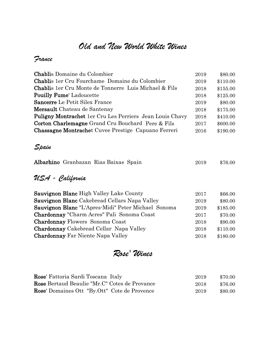### *Old and New World White Wines*

#### *France*

| <b>Chablis Domaine du Colombier</b>                             | 2019 | \$80.00  |
|-----------------------------------------------------------------|------|----------|
| <b>Chablis</b> 1er Cru Fourchame Domaine du Colombier           | 2019 | \$110.00 |
| <b>Chablis</b> 1er Cru Monte de Tonnerre Luis Michael & Fils    | 2018 | \$155.00 |
| <b>Pouilly Fume'</b> Ladoucette                                 | 2018 | \$125.00 |
| <b>Sancerre</b> Le Petit Silex France                           | 2019 | \$80.00  |
| Mersault Chateau de Santenay                                    | 2018 | \$175.00 |
| <b>Puligny Montrachet</b> 1er Cru Les Perriers Jean Louis Chavy | 2018 | \$410.00 |
| <b>Corton Charlemagne</b> Grand Cru Bouchard Pere & Fils        | 2017 | \$600.00 |
| <b>Chassagne Montrachet</b> Cuvee Prestige Capuano Ferreri      | 2016 | \$190.00 |
|                                                                 |      |          |
| Spain                                                           |      |          |
| Albarhino Granbazan Rias Baixas Spain                           | 2019 | \$76.00  |

#### *USA - California*

| 2017 | \$66.00  |
|------|----------|
| 2019 | \$80.00  |
| 2019 | \$185.00 |
| 2017 | \$70.00  |
| 2018 | \$90.00  |
| 2018 | \$110.00 |
| 2018 | \$180.00 |
|      |          |

*Rose' Wines*

| Rose' Fattoria Sardi Toscana Italy                   | 2019 | \$70.00 |
|------------------------------------------------------|------|---------|
| <b>Rose</b> Bertaud Beaulie "Mr.C" Cotes de Provance | 2018 | \$76.00 |
| <b>Rose'</b> Domaines Ott "By.Ott" Cote de Provence  | 2019 | \$80.00 |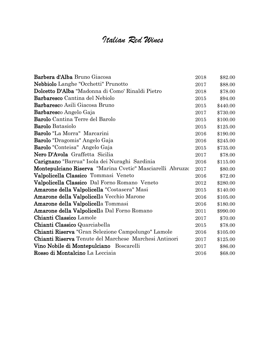## *Italian Red Wines*

| Barbera d'Alba Bruno Giacosa                              | 2018 | \$82.00  |
|-----------------------------------------------------------|------|----------|
| Nebbiolo Langhe "Occhetti" Prunotto                       | 2017 | \$88.00  |
| Dolcetto D'Alba "Madonna di Como' Rinaldi Pietro          | 2018 | \$78.00  |
| <b>Barbaresco</b> Cantina del Nebiolo                     | 2015 | \$94.00  |
| Barbaresco Asili Giacosa Bruno                            | 2015 | \$440.00 |
| <b>Barbaresco Angelo Gaja</b>                             | 2017 | \$730.00 |
| <b>Barolo</b> Cantina Terre del Barolo                    | 2015 | \$100.00 |
| <b>Barolo</b> Batasiolo                                   | 2015 | \$125.00 |
| Barolo "La Morra" Marcarini                               | 2016 | \$190.00 |
| <b>Barolo</b> "Dragomis" Angelo Gaja                      | 2016 | \$245.00 |
| Barolo "Conteisa" Angelo Gaja                             | 2015 | \$735.00 |
| Nero D'Avola Graffetta Sicilia                            | 2017 | \$78.00  |
| Carignano "Barrua" Isola dei Nuraghi Sardinia             | 2016 | \$115.00 |
| Montepulciano Riserva "Marina Cvetic" Masciarelli Abruzzo | 2017 | \$80.00  |
| Valpolicella Classico Tommasi Veneto                      | 2016 | \$72.00  |
| Valpolicella Classico Dal Forno Romano Veneto             | 2012 | \$280.00 |
| Amarone della Valpolicella "Costasera" Masi               | 2015 | \$140.00 |
| Amarone della Valpolicella Vecchio Marone                 | 2016 | \$105.00 |
| Amarone della Valpolicella Tommasi                        | 2016 | \$180.00 |
| Amarone della Valpolicella Dal Forno Romano               | 2011 | \$990.00 |
| Chianti Classico Lamole                                   | 2017 | \$70.00  |
| Chianti Classico Quarciabella                             | 2015 | \$78.00  |
| Chianti Riserva "Gran Selezione Campolungo" Lamole        | 2016 | \$105.00 |
| Chianti Riserva Tenute del Marchese Marchesi Antinori     | 2017 | \$125.00 |
| Vino Nobile di Montepulciano Boscarelli                   | 2017 | \$86.00  |
| Rosso di Montalcino La Lecciaia                           | 2016 | \$68.00  |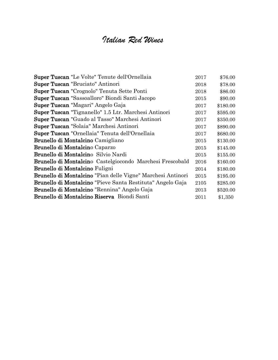## *Italian Red Wines*

| Super Tuscan "Le Volte" Tenute dell'Ornellaia                     | 2017 | \$76.00  |
|-------------------------------------------------------------------|------|----------|
| <b>Super Tuscan</b> "Bruciato" Antinori                           | 2018 | \$78.00  |
| Super Tuscan "Crognolo" Tenuta Sette Ponti                        | 2018 | \$86.00  |
| Super Tuscan "Sassoalloro" Biondi Santi Jacopo                    | 2015 | \$90.00  |
| <b>Super Tuscan</b> "Magari" Angelo Gaja                          | 2017 | \$180.00 |
| <b>Super Tuscan</b> "Tignanello" 1.5 Ltr. Marchesi Antinori       | 2017 | \$595.00 |
| Super Tuscan "Guado al Tasso" Marchesi Antinori                   | 2017 | \$350.00 |
| Super Tuscan "Solaia" Marchesi Antinori                           | 2017 | \$890.00 |
| Super Tuscan "Ornellaia" Tenuta dell'Ornellaia                    | 2017 | \$680.00 |
| Brunello di Montalcino Camigliano                                 | 2015 | \$130.00 |
| Brunello di Montalcino Caparzo                                    | 2015 | \$145.00 |
| Brunello di Montalcino Silvio Nardi                               | 2015 | \$155.00 |
| <b>Brunello di Montalcin</b> o Castelgiocondo Marchesi Frescobald | 2016 | \$160.00 |
| <b>Brunello di Montalcino Fuligni</b>                             | 2014 | \$180.00 |
| Brunello di Montalcino "Pian delle Vigne" Marchesi Antinori       | 2015 | \$195.00 |
| Brunello di Montalcino "Pieve Santa Restituta" Angelo Gaja        | 2105 | \$285.00 |
| <b>Brunello di Montalcino</b> "Rennina" Angelo Gaja               | 2013 | \$520.00 |
| Brunello di Montalcino Riserva Biondi Santi                       | 2011 | \$1,350  |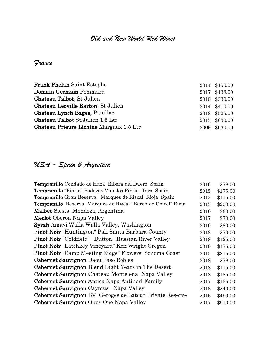#### *Old and New World Red Wines*

*France*

| <b>Frank Phelan Saint Estephe</b>              | 2014 \$150.00 |
|------------------------------------------------|---------------|
| Domain Germain Pommard                         | 2017 \$138.00 |
| Chateau Talbot, St Julien                      | 2010 \$330.00 |
| Chateau Leoville Barton, St Julien             | 2014 \$410.00 |
| Chateau Lynch Bages, Pauillac                  | 2018 \$525.00 |
| <b>Chateau Talbot St. Julien 1.5 Ltr</b>       | 2015 \$630.00 |
| <b>Chateau Prieure Lichine</b> Margaux 1.5 Ltr | 2009 \$630.00 |

### *USA - Spain & Argentina*

| Tempranillo Condado de Haza Ribera del Duero Spain            | 2016 | \$78.00  |
|---------------------------------------------------------------|------|----------|
| Tempranillo "Pintia" Bodegas Vinedos Pintia Toro, Spain       | 2015 | \$175.00 |
| <b>Tempranillo</b> Gran Reserva Marques de Riscal Rioja Spain | 2012 | \$115.00 |
| Tempranillo Reserva Marques de Riscal "Baron de Chirel" Rioja | 2015 | \$200.00 |
| Malbec Siesta Mendoza, Argentina                              | 2016 | \$80.00  |
| <b>Merlot</b> Oberon Napa Valley                              | 2017 | \$70.00  |
| Syrah Amavi Walla Walla Valley, Washington                    | 2016 | \$80.00  |
| <b>Pinot Noir</b> "Huntington" Pali Santa Barbara County      | 2018 | \$70.00  |
| <b>Pinot Noir</b> "Goldfield" Dutton Russian River Valley     | 2018 | \$125.00 |
| <b>Pinot Noir</b> "Latchkey Vineyard" Ken Wright Oregon       | 2018 | \$175.00 |
| <b>Pinot Noir</b> "Camp Meeting Ridge" Flowers Sonoma Coast   | 2015 | \$215.00 |
| Cabernet Sauvignon Daou Paso Robles                           | 2018 | \$78.00  |
| Cabernet Sauvignon Blend Eight Years in The Desert            | 2018 | \$115.00 |
| Cabernet Sauvignon Chateau Montelena Napa Valley              | 2018 | \$185.00 |
| Cabernet Sauvignon Antica Napa Antinori Family                | 2017 | \$155.00 |
| Cabernet Sauvignon Caymus Napa Valley                         | 2018 | \$240.00 |
| Cabernet Sauvignon BV Geroges de Latour Private Reserve       | 2016 | \$490.00 |
| Cabernet Sauvignon Opus One Napa Valley                       | 2017 | \$910.00 |